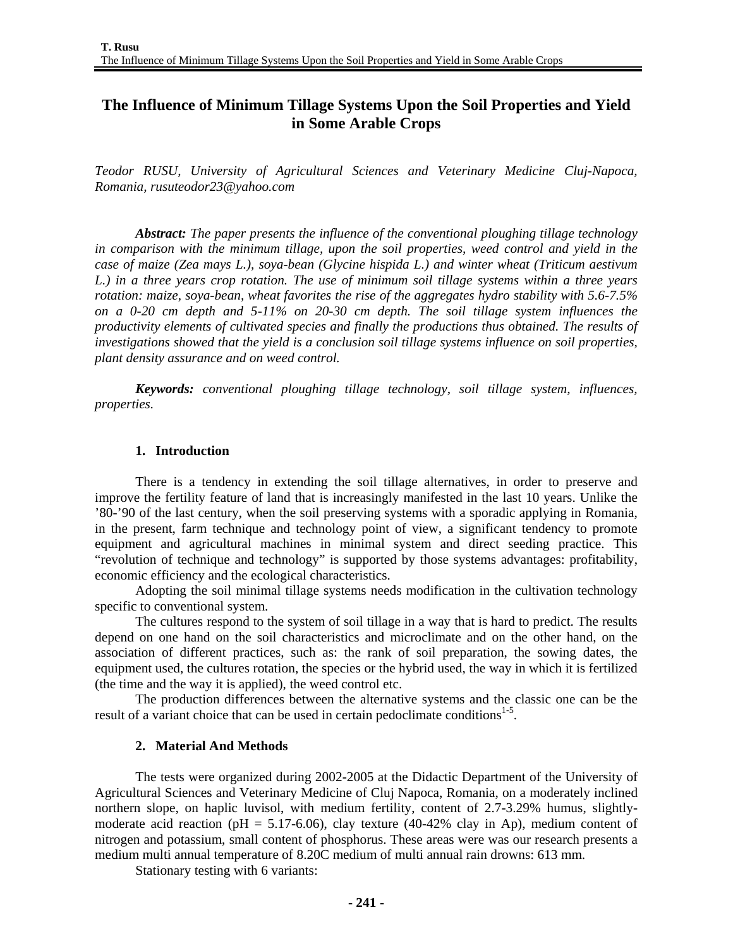# **The Influence of Minimum Tillage Systems Upon the Soil Properties and Yield in Some Arable Crops**

*Teodor RUSU, University of Agricultural Sciences and Veterinary Medicine Cluj-Napoca, Romania, rusuteodor23@yahoo.com* 

*Abstract: The paper presents the influence of the conventional ploughing tillage technology in comparison with the minimum tillage, upon the soil properties, weed control and yield in the case of maize (Zea mays L.), soya-bean (Glycine hispida L.) and winter wheat (Triticum aestivum L.) in a three years crop rotation. The use of minimum soil tillage systems within a three years rotation: maize, soya-bean, wheat favorites the rise of the aggregates hydro stability with 5.6-7.5% on a 0-20 cm depth and 5-11% on 20-30 cm depth. The soil tillage system influences the productivity elements of cultivated species and finally the productions thus obtained. The results of investigations showed that the yield is a conclusion soil tillage systems influence on soil properties, plant density assurance and on weed control.* 

*Keywords: conventional ploughing tillage technology, soil tillage system, influences, properties.* 

#### **1. Introduction**

There is a tendency in extending the soil tillage alternatives, in order to preserve and improve the fertility feature of land that is increasingly manifested in the last 10 years. Unlike the '80-'90 of the last century, when the soil preserving systems with a sporadic applying in Romania, in the present, farm technique and technology point of view, a significant tendency to promote equipment and agricultural machines in minimal system and direct seeding practice. This "revolution of technique and technology" is supported by those systems advantages: profitability, economic efficiency and the ecological characteristics.

Adopting the soil minimal tillage systems needs modification in the cultivation technology specific to conventional system.

The cultures respond to the system of soil tillage in a way that is hard to predict. The results depend on one hand on the soil characteristics and microclimate and on the other hand, on the association of different practices, such as: the rank of soil preparation, the sowing dates, the equipment used, the cultures rotation, the species or the hybrid used, the way in which it is fertilized (the time and the way it is applied), the weed control etc.

The production differences between the alternative systems and the classic one can be the result of a variant choice that can be used in certain pedoclimate conditions<sup>1-5</sup>.

#### **2. Material And Methods**

The tests were organized during 2002-2005 at the Didactic Department of the University of Agricultural Sciences and Veterinary Medicine of Cluj Napoca, Romania, on a moderately inclined northern slope, on haplic luvisol, with medium fertility, content of 2.7-3.29% humus, slightlymoderate acid reaction (pH = 5.17-6.06), clay texture (40-42% clay in Ap), medium content of nitrogen and potassium, small content of phosphorus. These areas were was our research presents a medium multi annual temperature of 8.20C medium of multi annual rain drowns: 613 mm.

Stationary testing with 6 variants: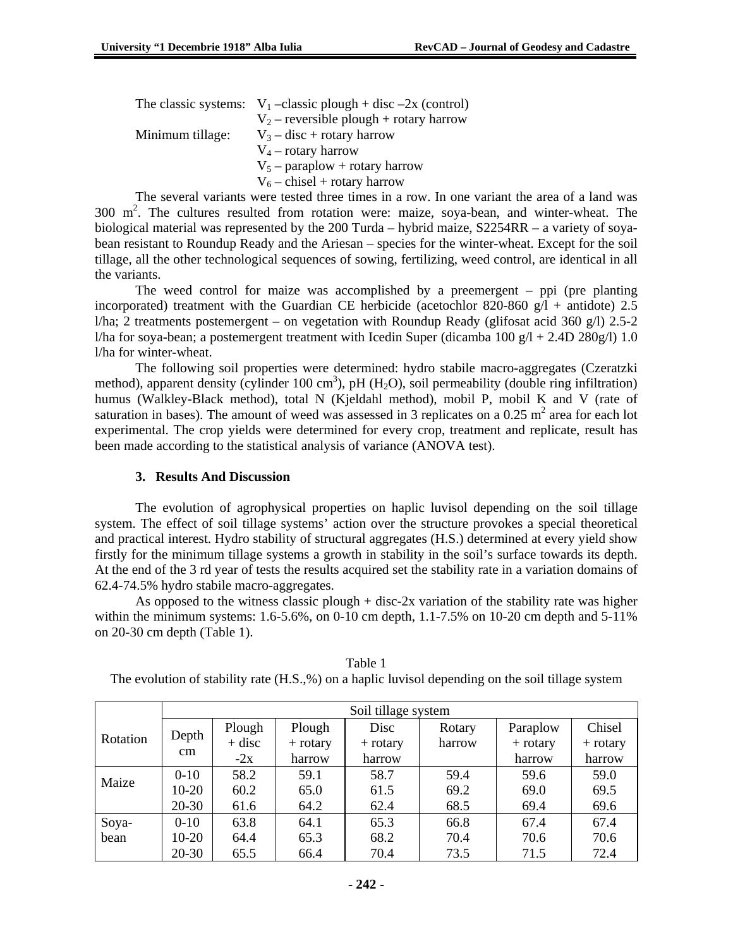|                  | The classic systems: $V_1$ -classic plough + disc -2x (control) |  |  |  |  |
|------------------|-----------------------------------------------------------------|--|--|--|--|
|                  | $V_2$ – reversible plough + rotary harrow                       |  |  |  |  |
| Minimum tillage: | $V_3$ – disc + rotary harrow                                    |  |  |  |  |
|                  | $V_4$ – rotary harrow                                           |  |  |  |  |
|                  | $V_5$ – paraplow + rotary harrow                                |  |  |  |  |
|                  | $V_6$ – chisel + rotary harrow                                  |  |  |  |  |
|                  |                                                                 |  |  |  |  |

The several variants were tested three times in a row. In one variant the area of a land was 300  $m<sup>2</sup>$ . The cultures resulted from rotation were: maize, soya-bean, and winter-wheat. The biological material was represented by the 200 Turda – hybrid maize, S2254RR – a variety of soyabean resistant to Roundup Ready and the Ariesan – species for the winter-wheat. Except for the soil tillage, all the other technological sequences of sowing, fertilizing, weed control, are identical in all the variants.

The weed control for maize was accomplished by a preemergent – ppi (pre planting incorporated) treatment with the Guardian CE herbicide (acetochlor 820-860  $g/l$  + antidote) 2.5 l/ha; 2 treatments postemergent – on vegetation with Roundup Ready (glifosat acid 360 g/l) 2.5-2 l/ha for soya-bean; a postemergent treatment with Icedin Super (dicamba 100  $g/l + 2.4D 280g/l$ ) 1.0 l/ha for winter-wheat.

The following soil properties were determined: hydro stabile macro-aggregates (Czeratzki method), apparent density (cylinder 100 cm<sup>3</sup>), pH (H<sub>2</sub>O), soil permeability (double ring infiltration) humus (Walkley-Black method), total N (Kjeldahl method), mobil P, mobil K and V (rate of saturation in bases). The amount of weed was assessed in 3 replicates on a 0.25  $m^2$  area for each lot experimental. The crop yields were determined for every crop, treatment and replicate, result has been made according to the statistical analysis of variance (ANOVA test).

### **3. Results And Discussion**

The evolution of agrophysical properties on haplic luvisol depending on the soil tillage system. The effect of soil tillage systems' action over the structure provokes a special theoretical and practical interest. Hydro stability of structural aggregates (H.S.) determined at every yield show firstly for the minimum tillage systems a growth in stability in the soil's surface towards its depth. At the end of the 3 rd year of tests the results acquired set the stability rate in a variation domains of 62.4-74.5% hydro stabile macro-aggregates.

As opposed to the witness classic plough + disc-2x variation of the stability rate was higher within the minimum systems:  $1.6-5.6\%$ , on  $0.10$  cm depth,  $1.1-7.5\%$  on  $10-20$  cm depth and  $5-11\%$ on 20-30 cm depth (Table 1).

|          | Soil tillage system |          |            |            |        |            |            |  |  |
|----------|---------------------|----------|------------|------------|--------|------------|------------|--|--|
|          | Depth               | Plough   | Plough     | Disc       | Rotary | Paraplow   | Chisel     |  |  |
| Rotation |                     | $+$ disc | $+$ rotary | $+$ rotary | harrow | $+$ rotary | $+$ rotary |  |  |
|          | $\rm cm$            | $-2x$    | harrow     | harrow     |        | harrow     | harrow     |  |  |
| Maize    | $0 - 10$            | 58.2     | 59.1       | 58.7       | 59.4   | 59.6       | 59.0       |  |  |
|          | $10-20$             | 60.2     | 65.0       | 61.5       | 69.2   | 69.0       | 69.5       |  |  |
|          | $20 - 30$           | 61.6     | 64.2       | 62.4       | 68.5   | 69.4       | 69.6       |  |  |
| Soya-    | $0-10$              | 63.8     | 64.1       | 65.3       | 66.8   | 67.4       | 67.4       |  |  |
| bean     | $10-20$             | 64.4     | 65.3       | 68.2       | 70.4   | 70.6       | 70.6       |  |  |
|          | $20 - 30$           | 65.5     | 66.4       | 70.4       | 73.5   | 71.5       | 72.4       |  |  |

Table 1 The evolution of stability rate (H.S.,%) on a haplic luvisol depending on the soil tillage system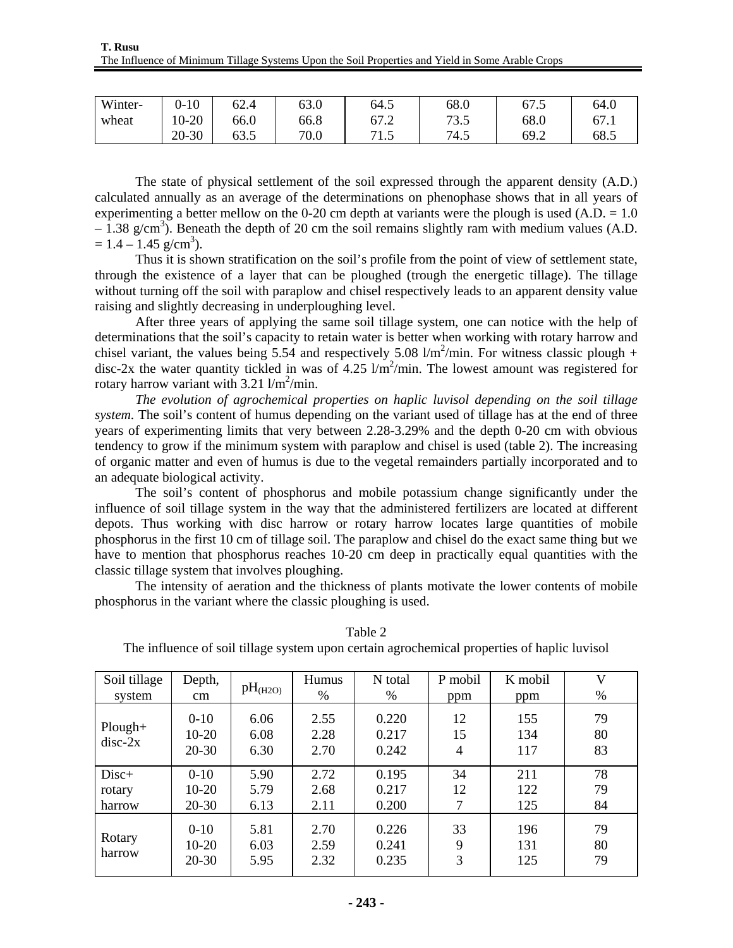| Winter- | 1 <sub>0</sub><br>1 U<br>. . | 62.4        | 63.0 | 64.5                     | 68.0 | 67.5 | 64.0 |
|---------|------------------------------|-------------|------|--------------------------|------|------|------|
| wheat   | $0 - 20$<br>1 <sub>0</sub>   | 66.0        | 66.8 | $\sim$<br>67.2           | 73.5 | 68.0 | 67.1 |
|         | $-30$<br>$20 - 3$            | ے م<br>63.J | 70.0 | 71 <sup>5</sup><br>ل د 1 | 74.5 | 69.2 | 68.5 |

The state of physical settlement of the soil expressed through the apparent density (A.D.) calculated annually as an average of the determinations on phenophase shows that in all years of experimenting a better mellow on the 0-20 cm depth at variants were the plough is used  $(A.D. = 1.0$  $-$  1.38 g/cm<sup>3</sup>). Beneath the depth of 20 cm the soil remains slightly ram with medium values (A.D.  $= 1.4 - 1.45$  g/cm<sup>3</sup>).

Thus it is shown stratification on the soil's profile from the point of view of settlement state, through the existence of a layer that can be ploughed (trough the energetic tillage). The tillage without turning off the soil with paraplow and chisel respectively leads to an apparent density value raising and slightly decreasing in underploughing level.

After three years of applying the same soil tillage system, one can notice with the help of determinations that the soil's capacity to retain water is better when working with rotary harrow and chisel variant, the values being 5.54 and respectively 5.08  $1/m^2/min$ . For witness classic plough + disc-2x the water quantity tickled in was of  $4.25 \frac{\text{m}^2}{\text{min}}$ . The lowest amount was registered for rotary harrow variant with  $3.21$  l/m<sup>2</sup>/min.

*The evolution of agrochemical properties on haplic luvisol depending on the soil tillage system.* The soil's content of humus depending on the variant used of tillage has at the end of three years of experimenting limits that very between 2.28-3.29% and the depth 0-20 cm with obvious tendency to grow if the minimum system with paraplow and chisel is used (table 2). The increasing of organic matter and even of humus is due to the vegetal remainders partially incorporated and to an adequate biological activity.

The soil's content of phosphorus and mobile potassium change significantly under the influence of soil tillage system in the way that the administered fertilizers are located at different depots. Thus working with disc harrow or rotary harrow locates large quantities of mobile phosphorus in the first 10 cm of tillage soil. The paraplow and chisel do the exact same thing but we have to mention that phosphorus reaches 10-20 cm deep in practically equal quantities with the classic tillage system that involves ploughing.

The intensity of aeration and the thickness of plants motivate the lower contents of mobile phosphorus in the variant where the classic ploughing is used.

| Soil tillage           | Depth,                         | pH <sub>(H2O)</sub>  | Humus                | N total                 | P mobil       | K mobil           | V              |
|------------------------|--------------------------------|----------------------|----------------------|-------------------------|---------------|-------------------|----------------|
| system                 | cm                             |                      | $\%$                 | %                       | ppm           | ppm               | %              |
| $Plough+$<br>$disc-2x$ | $0-10$<br>$10-20$<br>$20 - 30$ | 6.06<br>6.08<br>6.30 | 2.55<br>2.28<br>2.70 | 0.220<br>0.217<br>0.242 | 12<br>15<br>4 | 155<br>134<br>117 | 79<br>80<br>83 |
| $Disc+$                | $0-10$                         | 5.90                 | 2.72                 | 0.195                   | 34            | 211               | 78             |
| rotary                 | $10-20$                        | 5.79                 | 2.68                 | 0.217                   | 12            | 122               | 79             |
| harrow                 | $20 - 30$                      | 6.13                 | 2.11                 | 0.200                   | 7             | 125               | 84             |
| Rotary<br>harrow       | $0-10$<br>$10-20$<br>$20 - 30$ | 5.81<br>6.03<br>5.95 | 2.70<br>2.59<br>2.32 | 0.226<br>0.241<br>0.235 | 33<br>9<br>3  | 196<br>131<br>125 | 79<br>80<br>79 |

Table 2

The influence of soil tillage system upon certain agrochemical properties of haplic luvisol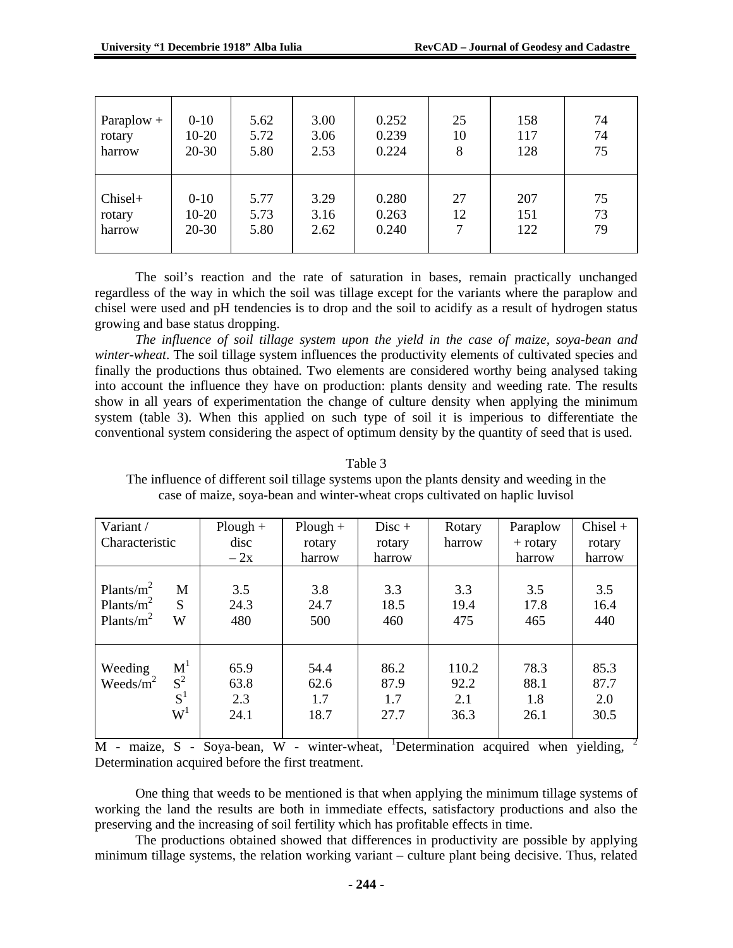| Paraplow $+$ | $0 - 10$  | 5.62 | 3.00 | 0.252 | 25 | 158 | 74 |
|--------------|-----------|------|------|-------|----|-----|----|
| rotary       | $10-20$   | 5.72 | 3.06 | 0.239 | 10 | 117 | 74 |
| harrow       | $20 - 30$ | 5.80 | 2.53 | 0.224 | 8  | 128 | 75 |
| Chisel+      | $0 - 10$  | 5.77 | 3.29 | 0.280 | 27 | 207 | 75 |
| rotary       | $10-20$   | 5.73 | 3.16 | 0.263 | 12 | 151 | 73 |
| harrow       | $20 - 30$ | 5.80 | 2.62 | 0.240 | 7  | 122 | 79 |

The soil's reaction and the rate of saturation in bases, remain practically unchanged regardless of the way in which the soil was tillage except for the variants where the paraplow and chisel were used and pH tendencies is to drop and the soil to acidify as a result of hydrogen status growing and base status dropping.

*The influence of soil tillage system upon the yield in the case of maize, soya-bean and winter-wheat*. The soil tillage system influences the productivity elements of cultivated species and finally the productions thus obtained. Two elements are considered worthy being analysed taking into account the influence they have on production: plants density and weeding rate. The results show in all years of experimentation the change of culture density when applying the minimum system (table 3). When this applied on such type of soil it is imperious to differentiate the conventional system considering the aspect of optimum density by the quantity of seed that is used.

The influence of different soil tillage systems upon the plants density and weeding in the case of maize, soya-bean and winter-wheat crops cultivated on haplic luvisol Variant /  $P$ lough +  $\vert$  Disc +  $\vert$  Rotary  $\vert$  Paraplow  $\vert$  Chisel + disc rotary rotary harrow + rotary rotary

Table 3

| <u>, ai iuile /</u> |                | $1.10u_{5}u$ | 1 IVUEII 1 | <b>DISC 1</b> | <b>Troug</b> | r araprow  | $\sum_{i=1}^{n}$ |
|---------------------|----------------|--------------|------------|---------------|--------------|------------|------------------|
| Characteristic      |                | disc         | rotary     | rotary        | harrow       | $+$ rotary | rotary           |
|                     |                | $-2x$        | harrow     | harrow        |              | harrow     | harrow           |
|                     |                |              |            |               |              |            |                  |
| Plants/ $m^2$       | M              | 3.5          | 3.8        | 3.3           | 3.3          | 3.5        | 3.5              |
| Plants/ $m^2$       | S              | 24.3         | 24.7       | 18.5          | 19.4         | 17.8       | 16.4             |
| Plants/ $m^2$       | W              | 480          | 500        | 460           | 475          | 465        | 440              |
|                     |                |              |            |               |              |            |                  |
|                     |                |              |            |               |              |            |                  |
| Weeding             | M <sup>1</sup> | 65.9         | 54.4       | 86.2          | 110.2        | 78.3       | 85.3             |
| Weeds/ $m^2$        | $S^2$          | 63.8         | 62.6       | 87.9          | 92.2         | 88.1       | 87.7             |
|                     | $S^1$          | 2.3          | 1.7        | 1.7           | 2.1          | 1.8        | 2.0              |
|                     | $W^1$          | 24.1         | 18.7       | 27.7          | 36.3         | 26.1       | 30.5             |
|                     |                |              |            |               |              |            |                  |

 $M$  - maize, S - Soya-bean, W - winter-wheat, <sup>1</sup>Determination acquired when yielding, <sup>2</sup> Determination acquired before the first treatment.

One thing that weeds to be mentioned is that when applying the minimum tillage systems of working the land the results are both in immediate effects, satisfactory productions and also the preserving and the increasing of soil fertility which has profitable effects in time.

The productions obtained showed that differences in productivity are possible by applying minimum tillage systems, the relation working variant – culture plant being decisive. Thus, related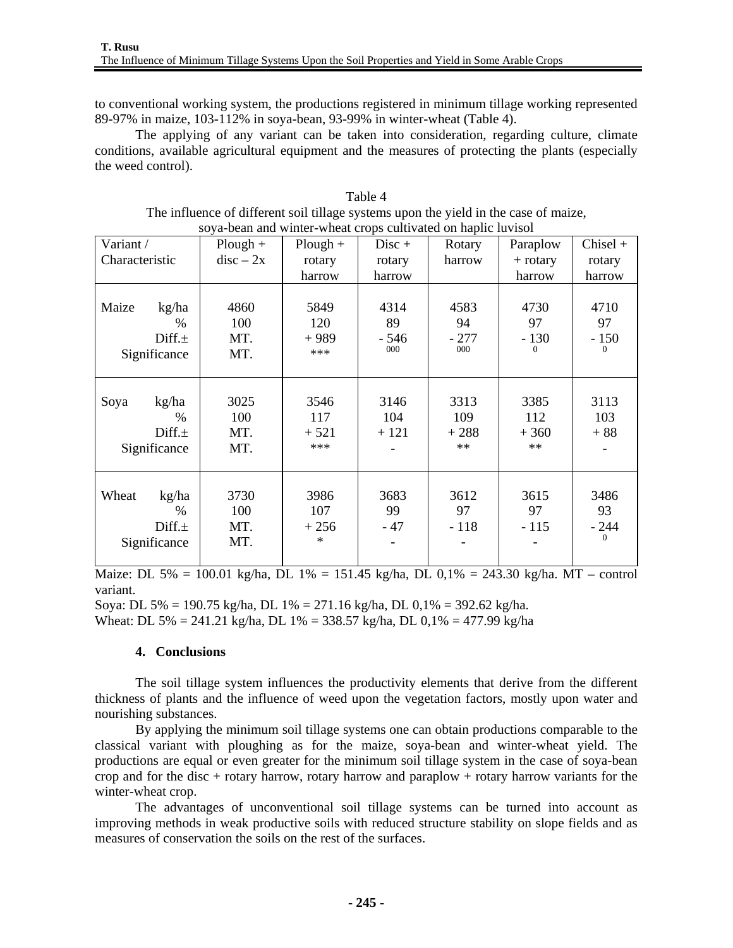to conventional working system, the productions registered in minimum tillage working represented 89-97% in maize, 103-112% in soya-bean, 93-99% in winter-wheat (Table 4).

The applying of any variant can be taken into consideration, regarding culture, climate conditions, available agricultural equipment and the measures of protecting the plants (especially the weed control).

| soya-bean and winter-wheat crops cultivated on haplic luvisol |             |            |          |        |            |            |  |
|---------------------------------------------------------------|-------------|------------|----------|--------|------------|------------|--|
| Variant /                                                     | $Plough +$  | $Plough +$ | $Disc +$ | Rotary | Paraplow   | $Chisel +$ |  |
| Characteristic                                                | $disc - 2x$ | rotary     | rotary   | harrow | $+$ rotary | rotary     |  |
|                                                               |             | harrow     | harrow   |        | harrow     | harrow     |  |
|                                                               |             |            |          |        |            |            |  |
| Maize<br>kg/ha                                                | 4860        | 5849       | 4314     | 4583   | 4730       | 4710       |  |
| $\%$                                                          | 100         | 120        | 89       | 94     | 97         | 97         |  |
| $Diff. \pm$                                                   | MT.         | $+989$     | - 546    | $-277$ | $-130$     | $-150$     |  |
| Significance                                                  | MT.         | ***        | 000      | 000    |            | $\Omega$   |  |
|                                                               |             |            |          |        |            |            |  |
|                                                               |             |            |          |        |            |            |  |
| Soya<br>kg/ha                                                 | 3025        | 3546       | 3146     | 3313   | 3385       | 3113       |  |
| $\%$                                                          | 100         | 117        | 104      | 109    | 112        | 103        |  |
| $Diff. \pm$                                                   | MT.         | $+521$     | $+121$   | $+288$ | $+360$     | $+88$      |  |
| Significance                                                  | MT.         | ***        |          | $**$   | $**$       |            |  |
|                                                               |             |            |          |        |            |            |  |
|                                                               |             |            |          |        |            |            |  |
| Wheat<br>kg/ha                                                | 3730        | 3986       | 3683     | 3612   | 3615       | 3486       |  |
| $\frac{0}{0}$                                                 | 100         | 107        | 99       | 97     | 97         | 93         |  |
| Diff. $\pm$                                                   | MT.         | $+256$     | $-47$    | $-118$ | $-115$     | $-244$     |  |
| Significance                                                  | MT.         | $\ast$     |          |        |            | $\Omega$   |  |
|                                                               |             |            |          |        |            |            |  |

Table 4 The influence of different soil tillage systems upon the yield in the case of maize,

Maize: DL 5% = 100.01 kg/ha, DL 1% = 151.45 kg/ha, DL 0,1% = 243.30 kg/ha. MT – control variant.

Soya: DL 5% = 190.75 kg/ha, DL 1% = 271.16 kg/ha, DL 0,1% = 392.62 kg/ha. Wheat: DL 5% = 241.21 kg/ha, DL 1% = 338.57 kg/ha, DL 0,1% = 477.99 kg/ha

### **4. Conclusions**

The soil tillage system influences the productivity elements that derive from the different thickness of plants and the influence of weed upon the vegetation factors, mostly upon water and nourishing substances.

By applying the minimum soil tillage systems one can obtain productions comparable to the classical variant with ploughing as for the maize, soya-bean and winter-wheat yield. The productions are equal or even greater for the minimum soil tillage system in the case of soya-bean crop and for the disc + rotary harrow, rotary harrow and paraplow + rotary harrow variants for the winter-wheat crop.

The advantages of unconventional soil tillage systems can be turned into account as improving methods in weak productive soils with reduced structure stability on slope fields and as measures of conservation the soils on the rest of the surfaces.